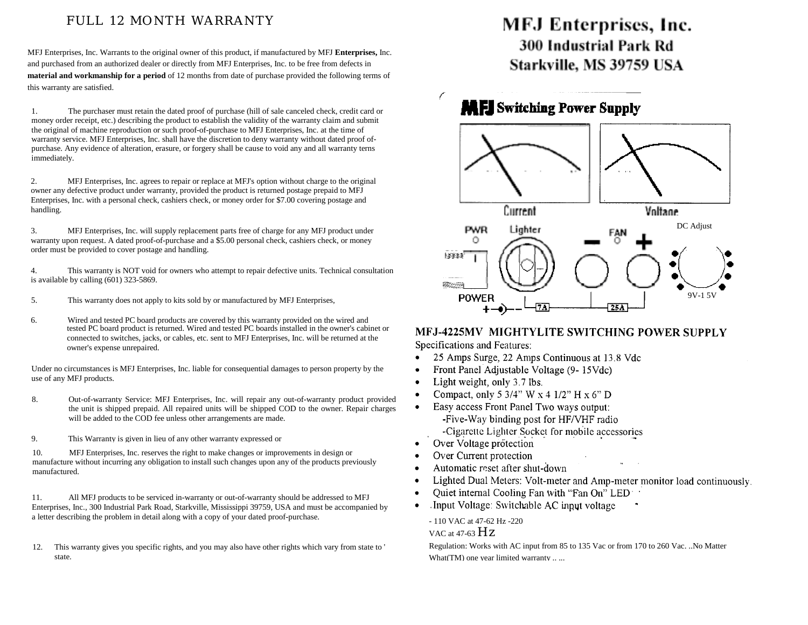### FULL 12 MONTH WARRANTY

MFJ Enterprises, Inc. Warrants to the original owner of this product, if manufactured by MFJ **Enterprises,** Inc. and purchased from an authorized dealer or directly from MFJ Enterprises, Inc. to be free from defects in **material and workmanship for a period** of 12 months from date of purchase provided the following terms of this warranty are satisfied.

1. The purchaser must retain the dated proof of purchase (hill of sale canceled check, credit card or money order receipt, etc.) describing the product to establish the validity of the warranty claim and submit the original of machine reproduction or such proof-of-purchase to MFJ Enterprises, Inc. at the time of warranty service. MFJ Enterprises, Inc. shall have the discretion to deny warranty without dated proof ofpurchase. Any evidence of alteration, erasure, or forgery shall be cause to void any and all warranty terns immediately.

2. MFJ Enterprises, Inc. agrees to repair or replace at MFJ's option without charge to the original owner any defective product under warranty, provided the product is returned postage prepaid to MFJ Enterprises, Inc. with a personal check, cashiers check, or money order for \$7.00 covering postage and handling.

3. MFJ Enterprises, Inc. will supply replacement parts free of charge for any MFJ product under warranty upon request. A dated proof-of-purchase and a \$5.00 personal check, cashiers check, or money order must be provided to cover postage and handling.

4. This warranty is NOT void for owners who attempt to repair defective units. Technical consultation is available by calling (601) 323-5869.

- 5. This warranty does not apply to kits sold by or manufactured by MFJ Enterprises,
- 6. Wired and tested PC board products are covered by this warranty provided on the wired and tested PC board product is returned. Wired and tested PC boards installed in the owner's cabinet or connected to switches, jacks, or cables, etc. sent to MFJ Enterprises, Inc. will be returned at the owner's expense unrepaired.

Under no circumstances is MFJ Enterprises, Inc. liable for consequential damages to person property by the use of any MFJ products.

- 8. Out-of-warranty Service: MFJ Enterprises, Inc. will repair any out-of-warranty product provided the unit is shipped prepaid. All repaired units will be shipped COD to the owner. Repair charges will be added to the COD fee unless other arrangements are made.
- 9. This Warranty is given in lieu of any other warranty expressed or

10. MFJ Enterprises, Inc. reserves the right to make changes or improvements in design or manufacture without incurring any obligation to install such changes upon any of the products previously manufactured.

11. All MFJ products to be serviced in-warranty or out-of-warranty should be addressed to MFJ Enterprises, Inc., 300 Industrial Park Road, Starkville, Mississippi 39759, USA and must be accompanied by a letter describing the problem in detail along with a copy of your dated proof-purchase.

12. This warranty gives you specific rights, and you may also have other rights which vary from state to ' state.

# MFJ Enterprises, Inc. 300 Industrial Park Rd Starkville, MS 39759 USA

## **MEI** Switching Power Supply



# MFJ-4225MV MIGHTYLITE SWITCHING POWER SUPPLY

Specifications and Features:

- 25 Amps Surge, 22 Amps Continuous at 13.8 Vdc  $\bullet$
- Front Panel Adjustable Voltage (9-15Vdc)
- Light weight, only 3.7 lbs.  $\bullet$
- Compact, only 5 3/4" W  $\times$  4 1/2" H  $\times$  6" D  $\bullet$
- Easy access Front Panel Two ways output:
	- -Five-Way binding post for HF/VHF radio -Cigarette Lighter Socket for mobile accessories
- Over Voltage protection  $\bullet$

 $\bullet$ 

- Over Current protection
- Automatic reset after shut-down  $\bullet$
- $\bullet$ Lighted Dual Meters: Volt-meter and Amp-meter monitor load continuously.
- Quiet internal Cooling Fan with "Fan On" LED  $\bullet$
- Input Voltage: Switchable AC input voltage ٠

- 110 VAC at 47-62 Hz -220

VAC at 47-63  $Hz$ 

Regulation: Works with AC input from 85 to 135 Vac or from 170 to 260 Vac. ..No Matter What(TM) one year limited warranty .....